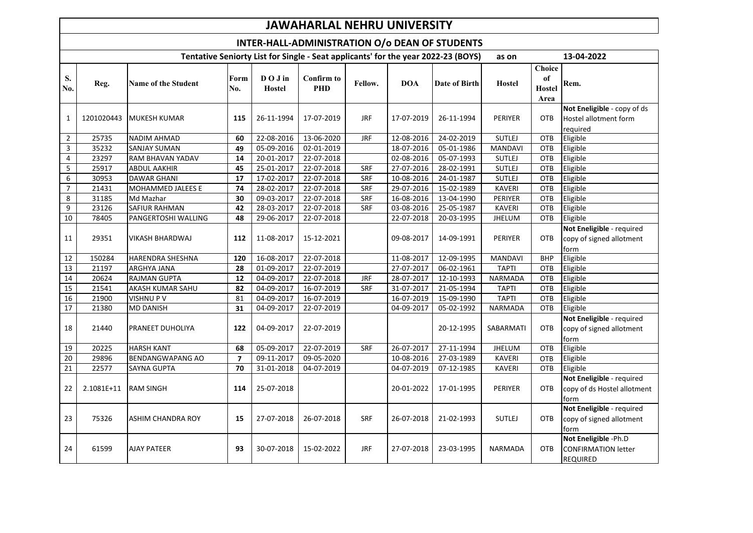## **JAWAHARLAL NEHRU UNIVERSITY**

## **INTER-HALL-ADMINISTRATION O/o DEAN OF STUDENTS**

| Tentative Seniorty List for Single - Seat applicants' for the year 2022-23 (BOYS) |            |                            |                |                          |                                 |            |            |               | as on          |                                       | 13-04-2022                                                            |
|-----------------------------------------------------------------------------------|------------|----------------------------|----------------|--------------------------|---------------------------------|------------|------------|---------------|----------------|---------------------------------------|-----------------------------------------------------------------------|
| S.<br>No.                                                                         | Reg.       | <b>Name of the Student</b> | Form<br>No.    | DO J in<br><b>Hostel</b> | <b>Confirm to</b><br><b>PHD</b> | Fellow.    | <b>DOA</b> | Date of Birth | Hostel         | <b>Choice</b><br>of<br>Hostel<br>Area | Rem.                                                                  |
|                                                                                   |            |                            |                |                          |                                 |            |            |               |                |                                       | Not Eneligible - copy of ds                                           |
| $\mathbf{1}$                                                                      | 1201020443 | MUKESH KUMAR               | 115            | 26-11-1994               | 17-07-2019                      | <b>JRF</b> | 17-07-2019 | 26-11-1994    | <b>PERIYER</b> | OTB                                   | Hostel allotment form                                                 |
|                                                                                   |            |                            |                |                          |                                 |            |            |               |                |                                       | required                                                              |
| $\overline{2}$                                                                    | 25735      | <b>NADIM AHMAD</b>         | 60             | 22-08-2016               | 13-06-2020                      | <b>JRF</b> | 12-08-2016 | 24-02-2019    | <b>SUTLEJ</b>  | OTB                                   | Eligible                                                              |
| $\overline{3}$                                                                    | 35232      | <b>SANJAY SUMAN</b>        | 49             | 05-09-2016               | 02-01-2019                      |            | 18-07-2016 | 05-01-1986    | <b>MANDAVI</b> | OTB                                   | Eligible                                                              |
| $\overline{\mathbf{4}}$                                                           | 23297      | <b>RAM BHAVAN YADAV</b>    | 14             | 20-01-2017               | 22-07-2018                      |            | 02-08-2016 | 05-07-1993    | <b>SUTLEJ</b>  | OTB                                   | Eligible                                                              |
| $\overline{5}$                                                                    | 25917      | <b>ABDUL AAKHIR</b>        | 45             | 25-01-2017               | 22-07-2018                      | SRF        | 27-07-2016 | 28-02-1991    | <b>SUTLEJ</b>  | OTB                                   | Eligible                                                              |
| $\overline{6}$                                                                    | 30953      | <b>DAWAR GHANI</b>         | 17             | 17-02-2017               | 22-07-2018                      | SRF        | 10-08-2016 | 24-01-1987    | <b>SUTLEJ</b>  | OTB                                   | Eligible                                                              |
| $\overline{7}$                                                                    | 21431      | MOHAMMED JALEES E          | 74             | $28 - 02 - 2017$         | 22-07-2018                      | SRF        | 29-07-2016 | 15-02-1989    | <b>KAVERI</b>  | OTB                                   | Eligible                                                              |
| 8                                                                                 | 31185      | Md Mazhar                  | 30             | 09-03-2017               | 22-07-2018                      | SRF        | 16-08-2016 | 13-04-1990    | PERIYER        | OTB                                   | Eligible                                                              |
| $\boldsymbol{9}$                                                                  | 23126      | <b>SAFIUR RAHMAN</b>       | 42             | 28-03-2017               | 22-07-2018                      | <b>SRF</b> | 03-08-2016 | 25-05-1987    | <b>KAVERI</b>  | OTB                                   | Eligible                                                              |
| 10                                                                                | 78405      | PANGERTOSHI WALLING        | 48             | 29-06-2017               | 22-07-2018                      |            | 22-07-2018 | 20-03-1995    | <b>JHELUM</b>  | OTB                                   | Eligible                                                              |
| 11                                                                                | 29351      | VIKASH BHARDWAJ            | 112            | 11-08-2017               | 15-12-2021                      |            | 09-08-2017 | 14-09-1991    | <b>PERIYER</b> | OTB                                   | Not Eneligible - required<br>copy of signed allotment<br>form         |
| 12                                                                                | 150284     | <b>HARENDRA SHESHNA</b>    | 120            | 16-08-2017               | 22-07-2018                      |            | 11-08-2017 | 12-09-1995    | <b>MANDAVI</b> | <b>BHP</b>                            | Eligible                                                              |
| 13                                                                                | 21197      | <b>ARGHYA JANA</b>         | 28             | 01-09-2017               | 22-07-2019                      |            | 27-07-2017 | 06-02-1961    | <b>TAPTI</b>   | OTB                                   | Eligible                                                              |
| 14                                                                                | 20624      | <b>RAJMAN GUPTA</b>        | 12             | 04-09-2017               | 22-07-2018                      | JRF        | 28-07-2017 | 12-10-1993    | <b>NARMADA</b> | OTB                                   | Eligible                                                              |
| 15                                                                                | 21541      | AKASH KUMAR SAHU           | 82             | 04-09-2017               | 16-07-2019                      | <b>SRF</b> | 31-07-2017 | 21-05-1994    | <b>TAPTI</b>   | OTB                                   | Eligible                                                              |
| 16                                                                                | 21900      | <b>VISHNUPV</b>            | 81             | 04-09-2017               | 16-07-2019                      |            | 16-07-2019 | 15-09-1990    | <b>TAPTI</b>   | OTB                                   | Eligible                                                              |
| $\overline{17}$                                                                   | 21380      | <b>MD DANISH</b>           | 31             | 04-09-2017               | 22-07-2019                      |            | 04-09-2017 | 05-02-1992    | NARMADA        | OTB                                   | Eligible                                                              |
| 18                                                                                | 21440      | PRANEET DUHOLIYA           | 122            | 04-09-2017               | 22-07-2019                      |            |            | 20-12-1995    | SABARMATI      | OTB                                   | Not Eneligible - required<br>copy of signed allotment<br>form         |
| 19                                                                                | 20225      | <b>HARSH KANT</b>          | 68             | 05-09-2017               | 22-07-2019                      | <b>SRF</b> | 26-07-2017 | 27-11-1994    | JHELUM         | OTB                                   | Eligible                                                              |
| 20                                                                                | 29896      | <b>BENDANGWAPANG AO</b>    | $\overline{7}$ | 09-11-2017               | 09-05-2020                      |            | 10-08-2016 | 27-03-1989    | <b>KAVERI</b>  | OTB                                   | Eligible                                                              |
| $\overline{21}$                                                                   | 22577      | <b>SAYNA GUPTA</b>         | 70             | 31-01-2018               | 04-07-2019                      |            | 04-07-2019 | 07-12-1985    | <b>KAVERI</b>  | OTB                                   | Eligible                                                              |
| 22                                                                                | 2.1081E+11 | <b>RAM SINGH</b>           | 114            | 25-07-2018               |                                 |            | 20-01-2022 | 17-01-1995    | PERIYER        | OTB                                   | Not Eneligible - required<br>copy of ds Hostel allotment<br>form      |
| 23                                                                                | 75326      | <b>ASHIM CHANDRA ROY</b>   | 15             | 27-07-2018               | 26-07-2018                      | <b>SRF</b> | 26-07-2018 | 21-02-1993    | <b>SUTLEJ</b>  | <b>OTB</b>                            | Not Eneligible - required<br>copy of signed allotment<br>form         |
| 24                                                                                | 61599      | <b>AJAY PATEER</b>         | 93             | 30-07-2018               | 15-02-2022                      | JRF        | 27-07-2018 | 23-03-1995    | NARMADA        | <b>OTB</b>                            | Not Eneligible -Ph.D<br><b>CONFIRMATION letter</b><br><b>REQUIRED</b> |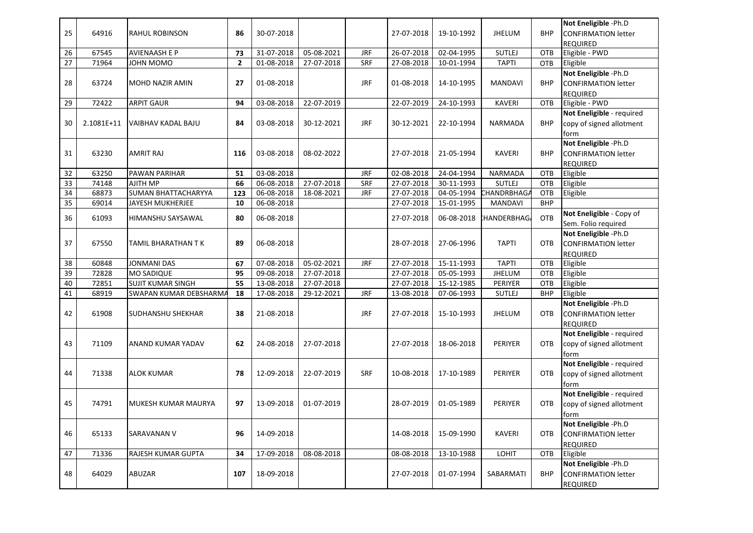|          |                |                            |                |                                                         |                            |            |                          |                          |                          |                          | Not Eneligible -Ph.D       |
|----------|----------------|----------------------------|----------------|---------------------------------------------------------|----------------------------|------------|--------------------------|--------------------------|--------------------------|--------------------------|----------------------------|
| 25       | 64916          | <b>RAHUL ROBINSON</b>      | 86             | 30-07-2018                                              |                            |            | 27-07-2018               | 19-10-1992               | <b>JHELUM</b>            | <b>BHP</b>               | <b>CONFIRMATION letter</b> |
|          |                |                            |                |                                                         |                            |            |                          |                          |                          |                          | <b>REQUIRED</b>            |
| 26       | 67545          | <b>AVIENAASH E P</b>       | 73             | 31-07-2018                                              | 05-08-2021                 | <b>JRF</b> | 26-07-2018               | 02-04-1995               | <b>SUTLEJ</b>            | OTB                      | Eligible - PWD             |
| 27       | 71964          | JOHN MOMO                  | $\overline{2}$ | 01-08-2018                                              | 27-07-2018                 | <b>SRF</b> | 27-08-2018               | 10-01-1994               | <b>TAPTI</b>             | <b>OTB</b>               | Eligible                   |
|          |                |                            |                |                                                         |                            |            |                          |                          |                          |                          | Not Eneligible -Ph.D       |
| 28       | 63724          | MOHD NAZIR AMIN            | 27             | 01-08-2018                                              |                            | JRF        | 01-08-2018               | 14-10-1995               | <b>MANDAVI</b>           | <b>BHP</b>               | <b>CONFIRMATION letter</b> |
|          |                |                            |                |                                                         |                            |            |                          |                          |                          |                          | <b>REQUIRED</b>            |
| 29       | 72422          | <b>ARPIT GAUR</b>          | 94             | 03-08-2018                                              | 22-07-2019                 |            | 22-07-2019               | 24-10-1993               | <b>KAVERI</b>            | <b>OTB</b>               | Eligible - PWD             |
|          |                |                            |                |                                                         |                            |            |                          |                          |                          |                          | Not Eneligible - required  |
| 30       | 2.1081E+11     | VAIBHAV KADAL BAJU         | 84             | 03-08-2018                                              | 30-12-2021                 | JRF        | 30-12-2021               | 22-10-1994               | NARMADA                  | <b>BHP</b>               | copy of signed allotment   |
|          |                |                            |                |                                                         |                            |            |                          |                          |                          |                          | form                       |
|          |                |                            |                |                                                         |                            |            |                          |                          |                          |                          | Not Eneligible -Ph.D       |
| 31       |                |                            |                |                                                         |                            |            |                          |                          |                          | <b>BHP</b>               |                            |
|          | 63230          | AMRIT RAJ                  | 116            | 03-08-2018                                              | 08-02-2022                 |            | 27-07-2018               | 21-05-1994               | <b>KAVERI</b>            |                          | <b>CONFIRMATION letter</b> |
|          |                |                            |                |                                                         |                            | <b>JRF</b> |                          |                          |                          | <b>OTB</b>               | <b>REQUIRED</b>            |
| 32<br>33 | 63250<br>74148 | PAWAN PARIHAR<br>AJITH MP  | 51<br>66       | 03-08-2018<br>06-08-2018                                | 27-07-2018                 | SRF        | 02-08-2018<br>27-07-2018 | 24-04-1994<br>30-11-1993 | NARMADA<br><b>SUTLEJ</b> | OTB                      | Eligible<br>Eligible       |
|          |                |                            |                |                                                         |                            |            |                          |                          |                          |                          |                            |
| 34       | 68873          | <b>SUMAN BHATTACHARYYA</b> | 123            | 06-08-2018                                              | 18-08-2021                 | <b>JRF</b> | 27-07-2018               | 04-05-1994               | <b>CHANDRBHAGA</b>       | <b>OTB</b><br><b>BHP</b> | Eligible                   |
| 35       | 69014          | JAYESH MUKHERJEE           | 10             | 06-08-2018                                              |                            |            | 27-07-2018               | 15-01-1995               | <b>MANDAVI</b>           |                          |                            |
| 36       | 61093          | HIMANSHU SAYSAWAL          | 80             | 06-08-2018                                              |                            |            | 27-07-2018               | 06-08-2018               | <b>CHANDERBHAG</b>       | OTB                      | Not Eneligible - Copy of   |
|          |                |                            |                |                                                         |                            |            |                          |                          |                          |                          | Sem. Folio required        |
|          |                |                            |                |                                                         |                            |            |                          |                          |                          |                          | Not Eneligible -Ph.D       |
| 37       | 67550          | TAMIL BHARATHAN T K        | 89             | 06-08-2018                                              |                            |            | 28-07-2018               | 27-06-1996               | <b>TAPTI</b>             | <b>OTB</b>               | <b>CONFIRMATION letter</b> |
|          |                |                            |                |                                                         |                            |            |                          |                          |                          |                          | <b>REQUIRED</b>            |
| 38       | 60848          | <b>JONMANI DAS</b>         | 67             | $\overline{07}$ -08-2018<br>$\overline{09} - 08 - 2018$ | 05-02-2021                 | <b>JRF</b> | 27-07-2018               | 15-11-1993               | <b>TAPTI</b>             | <b>OTB</b>               | Eligible                   |
| 39       | 72828          | <b>MO SADIQUE</b>          | 95             |                                                         | 27-07-2018<br>$27-07-2018$ |            | 27-07-2018               | 05-05-1993               | <b>JHELUM</b>            | <b>OTB</b>               | Eligible                   |
| 40       | 72851          | <b>SUJIT KUMAR SINGH</b>   | 55             | 13-08-2018                                              |                            |            | 27-07-2018               | 15-12-1985               | PERIYER                  | <b>OTB</b>               | Eligible                   |
| 41       | 68919          | SWAPAN KUMAR DEBSHARMA     | 18             | 17-08-2018                                              | 29-12-2021                 | <b>JRF</b> | 13-08-2018               | 07-06-1993               | <b>SUTLEJ</b>            | <b>BHP</b>               | Eligible                   |
|          |                |                            |                |                                                         |                            |            |                          |                          |                          |                          | Not Eneligible -Ph.D       |
| 42       | 61908          | <b>SUDHANSHU SHEKHAR</b>   | 38             | 21-08-2018                                              |                            | <b>JRF</b> | 27-07-2018               | 15-10-1993               | <b>JHELUM</b>            | <b>OTB</b>               | <b>CONFIRMATION letter</b> |
|          |                |                            |                |                                                         |                            |            |                          |                          |                          |                          | <b>REQUIRED</b>            |
|          |                |                            |                |                                                         |                            |            |                          |                          |                          |                          | Not Eneligible - required  |
| 43       | 71109          | ANAND KUMAR YADAV          | 62             | 24-08-2018                                              | 27-07-2018                 |            | 27-07-2018               | 18-06-2018               | PERIYER                  | <b>OTB</b>               | copy of signed allotment   |
|          |                |                            |                |                                                         |                            |            |                          |                          |                          |                          | form                       |
|          |                |                            |                |                                                         |                            |            |                          |                          |                          |                          | Not Eneligible - required  |
| 44       | 71338          | <b>ALOK KUMAR</b>          | 78             | 12-09-2018                                              | 22-07-2019                 | <b>SRF</b> | 10-08-2018               | 17-10-1989               | <b>PERIYER</b>           | <b>OTB</b>               | copy of signed allotment   |
|          |                |                            |                |                                                         |                            |            |                          |                          |                          |                          | form                       |
|          |                |                            |                |                                                         |                            |            |                          |                          |                          |                          | Not Eneligible - required  |
| 45       | 74791          | MUKESH KUMAR MAURYA        | 97             | 13-09-2018                                              | 01-07-2019                 |            | 28-07-2019               | 01-05-1989               | <b>PERIYER</b>           | <b>OTB</b>               | copy of signed allotment   |
|          |                |                            |                |                                                         |                            |            |                          |                          |                          |                          | form                       |
|          |                |                            |                |                                                         |                            |            |                          |                          |                          |                          | Not Eneligible -Ph.D       |
| 46       | 65133          | SARAVANAN V                | 96             | 14-09-2018                                              |                            |            | 14-08-2018               | 15-09-1990               | <b>KAVERI</b>            | <b>OTB</b>               | <b>CONFIRMATION letter</b> |
|          |                |                            |                |                                                         |                            |            |                          |                          |                          |                          | <b>REQUIRED</b>            |
| 47       | 71336          | RAJESH KUMAR GUPTA         | 34             | 17-09-2018                                              | 08-08-2018                 |            | 08-08-2018               | 13-10-1988               | LOHIT                    | OTB                      | Eligible                   |
|          |                |                            |                |                                                         |                            |            |                          |                          |                          |                          | Not Eneligible -Ph.D       |
| 48       | 64029          | ABUZAR                     | 107            | 18-09-2018                                              |                            |            | 27-07-2018               | 01-07-1994               | SABARMATI                | <b>BHP</b>               | <b>CONFIRMATION letter</b> |
|          |                |                            |                |                                                         |                            |            |                          |                          |                          |                          | <b>REQUIRED</b>            |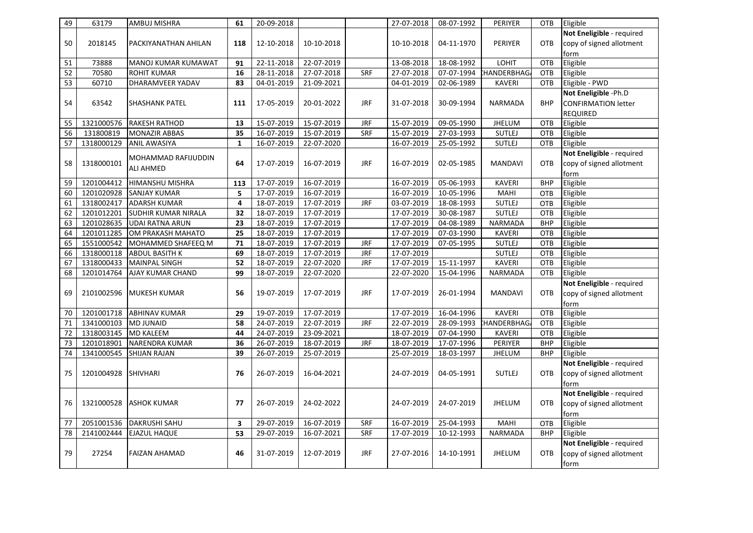| 49 | 63179      | AMBUJ MISHRA               | 61              | 20-09-2018   |            |            | 27-07-2018   | 08-07-1992       | PERIYER           | OTB        | Eligible                   |
|----|------------|----------------------------|-----------------|--------------|------------|------------|--------------|------------------|-------------------|------------|----------------------------|
|    |            |                            |                 |              |            |            |              |                  |                   |            | Not Eneligible - required  |
| 50 | 2018145    | PACKIYANATHAN AHILAN       | 118             | 12-10-2018   | 10-10-2018 |            | 10-10-2018   | 04-11-1970       | PERIYER           | <b>OTB</b> | copy of signed allotment   |
|    |            |                            |                 |              |            |            |              |                  |                   |            | form                       |
| 51 | 73888      | MANOJ KUMAR KUMAWAT        | 91              | 22-11-2018   | 22-07-2019 |            | 13-08-2018   | 18-08-1992       | LOHIT             | OTB        | Eligible                   |
| 52 | 70580      | <b>ROHIT KUMAR</b>         | 16              | 28-11-2018   | 27-07-2018 | SRF        | 27-07-2018   | 07-07-1994       | <b>HANDERBHAG</b> | <b>OTB</b> | Eligible                   |
| 53 | 60710      | DHARAMVEER YADAV           | 83              | 04-01-2019   | 21-09-2021 |            | 04-01-2019   | 02-06-1989       | <b>KAVERI</b>     | <b>OTB</b> | Eligible - PWD             |
|    |            |                            |                 |              |            |            |              |                  |                   |            | Not Eneligible -Ph.D       |
| 54 | 63542      | <b>SHASHANK PATEL</b>      | 111             | 17-05-2019   | 20-01-2022 | <b>JRF</b> | 31-07-2018   | 30-09-1994       | <b>NARMADA</b>    | <b>BHP</b> | <b>CONFIRMATION letter</b> |
|    |            |                            |                 |              |            |            |              |                  |                   |            | <b>REQUIRED</b>            |
| 55 | 1321000576 | <b>RAKESH RATHOD</b>       | 13              | 15-07-2019   | 15-07-2019 | <b>JRF</b> | 15-07-2019   | 09-05-1990       | <b>JHELUM</b>     | OTB        | Eligible                   |
| 56 | 131800819  | <b>MONAZIR ABBAS</b>       | 35              | 16-07-2019   | 15-07-2019 | <b>SRF</b> | 15-07-2019   | 27-03-1993       | <b>SUTLEJ</b>     | OTB        | Eligible                   |
| 57 | 1318000129 | <b>ANIL AWASIYA</b>        | $\mathbf{1}$    | 16-07-2019   | 22-07-2020 |            | 16-07-2019   | 25-05-1992       | <b>SUTLEJ</b>     | OTB        | Eligible                   |
|    |            | MOHAMMAD RAFIJUDDIN        |                 |              |            |            |              |                  |                   |            | Not Eneligible - required  |
| 58 | 1318000101 |                            | 64              | 17-07-2019   | 16-07-2019 | <b>JRF</b> | 16-07-2019   | 02-05-1985       | <b>MANDAVI</b>    | <b>OTB</b> | copy of signed allotment   |
|    |            | <b>ALI AHMED</b>           |                 |              |            |            |              |                  |                   |            | form                       |
| 59 | 1201004412 | HIMANSHU MISHRA            | 113             | 17-07-2019   | 16-07-2019 |            | 16-07-2019   | 05-06-1993       | <b>KAVERI</b>     | <b>BHP</b> | Eligible                   |
| 60 | 1201020928 | <b>SANJAY KUMAR</b>        | 5               | $17-07-2019$ | 16-07-2019 |            | 16-07-2019   | 10-05-1996       | MAHI              | <b>OTB</b> | Eligible                   |
| 61 | 1318002417 | <b>ADARSH KUMAR</b>        | 4               | $18-07-2019$ | 17-07-2019 | <b>JRF</b> | $03-07-2019$ | 18-08-1993       | <b>SUTLEJ</b>     | OTB        | Eligible                   |
| 62 | 1201012201 | <b>SUDHIR KUMAR NIRALA</b> | 32              | 18-07-2019   | 17-07-2019 |            | 17-07-2019   | 30-08-1987       | <b>SUTLEJ</b>     | OTB        | Eligible                   |
| 63 | 1201028635 | <b>UDAI RATNA ARUN</b>     | 23              | $18-07-2019$ | 17-07-2019 |            | 17-07-2019   | 04-08-1989       | <b>NARMADA</b>    | <b>BHP</b> | Eligible                   |
| 64 | 1201011285 | OM PRAKASH MAHATO          | 25              | 18-07-2019   | 17-07-2019 |            | 17-07-2019   | 07-03-1990       | <b>KAVERI</b>     | OTB        | Eligible                   |
| 65 | 1551000542 | MOHAMMED SHAFEEQ M         | 71              | 18-07-2019   | 17-07-2019 | <b>JRF</b> | 17-07-2019   | $07 - 05 - 1995$ | <b>SUTLEJ</b>     | OTB        | Eligible                   |
| 66 | 1318000118 | <b>ABDUL BASITH K</b>      | 69              | 18-07-2019   | 17-07-2019 | <b>JRF</b> | 17-07-2019   |                  | <b>SUTLEJ</b>     | OTB        | Eligible                   |
| 67 | 1318000433 | <b>MAINPAL SINGH</b>       | 52              | 18-07-2019   | 22-07-2020 | <b>JRF</b> | 17-07-2019   | 15-11-1997       | <b>KAVERI</b>     | OTB        | Eligible                   |
| 68 | 1201014764 | AJAY KUMAR CHAND           | 99              | 18-07-2019   | 22-07-2020 |            | 22-07-2020   | 15-04-1996       | NARMADA           | OTB        | Eligible                   |
|    |            |                            |                 |              |            |            |              |                  |                   |            | Not Eneligible - required  |
| 69 | 2101002596 | <b>MUKESH KUMAR</b>        | 56              | 19-07-2019   | 17-07-2019 | <b>JRF</b> | 17-07-2019   | 26-01-1994       | <b>MANDAVI</b>    | OTB        | copy of signed allotment   |
|    |            |                            |                 |              |            |            |              |                  |                   |            | form                       |
| 70 | 1201001718 | <b>ABHINAV KUMAR</b>       | 29              | 19-07-2019   | 17-07-2019 |            | 17-07-2019   | 16-04-1996       | <b>KAVERI</b>     | OTB        | Eligible                   |
| 71 | 1341000103 | <b>MD JUNAID</b>           | 58              | 24-07-2019   | 22-07-2019 | <b>JRF</b> | 22-07-2019   | 28-09-1993       | <b>HANDERBHAG</b> | OTB        | Eligible                   |
| 72 | 1318003145 | <b>MD KALEEM</b>           | 44              | 24-07-2019   | 23-09-2021 |            | 18-07-2019   | 07-04-1990       | <b>KAVERI</b>     | OTB        | Eligible                   |
| 73 | 1201018901 | <b>NARENDRA KUMAR</b>      | $\overline{36}$ | 26-07-2019   | 18-07-2019 | <b>JRF</b> | 18-07-2019   | 17-07-1996       | <b>PERIYER</b>    | <b>BHP</b> | Eligible                   |
| 74 | 1341000545 | <b>SHIJAN RAJAN</b>        | 39              | 26-07-2019   | 25-07-2019 |            | 25-07-2019   | 18-03-1997       | <b>JHELUM</b>     | <b>BHP</b> | Eligible                   |
|    |            |                            |                 |              |            |            |              |                  |                   |            | Not Eneligible - required  |
| 75 | 1201004928 | <b>SHIVHARI</b>            | 76              | 26-07-2019   | 16-04-2021 |            | 24-07-2019   | 04-05-1991       | <b>SUTLEJ</b>     | OTB        | copy of signed allotment   |
|    |            |                            |                 |              |            |            |              |                  |                   |            | form                       |
|    |            |                            |                 |              |            |            |              |                  |                   |            | Not Eneligible - required  |
| 76 | 1321000528 | <b>ASHOK KUMAR</b>         | 77              | 26-07-2019   | 24-02-2022 |            | 24-07-2019   | 24-07-2019       | <b>JHELUM</b>     | <b>OTB</b> | copy of signed allotment   |
|    |            |                            |                 |              |            |            |              |                  |                   |            | form                       |
| 77 | 2051001536 | <b>DAKRUSHI SAHU</b>       | 3               | 29-07-2019   | 16-07-2019 | SRF        | 16-07-2019   | 25-04-1993       | MAHI              | OTB        | Eligible                   |
| 78 | 2141002444 | <b>EJAZUL HAQUE</b>        | 53              | 29-07-2019   | 16-07-2021 | SRF        | 17-07-2019   | 10-12-1993       | <b>NARMADA</b>    | <b>BHP</b> | Eligible                   |
|    |            |                            |                 |              |            |            |              |                  |                   |            | Not Eneligible - required  |
| 79 | 27254      | <b>FAIZAN AHAMAD</b>       | 46              | 31-07-2019   | 12-07-2019 | <b>JRF</b> | 27-07-2016   | 14-10-1991       | <b>JHELUM</b>     | OTB        | copy of signed allotment   |
|    |            |                            |                 |              |            |            |              |                  |                   |            | form                       |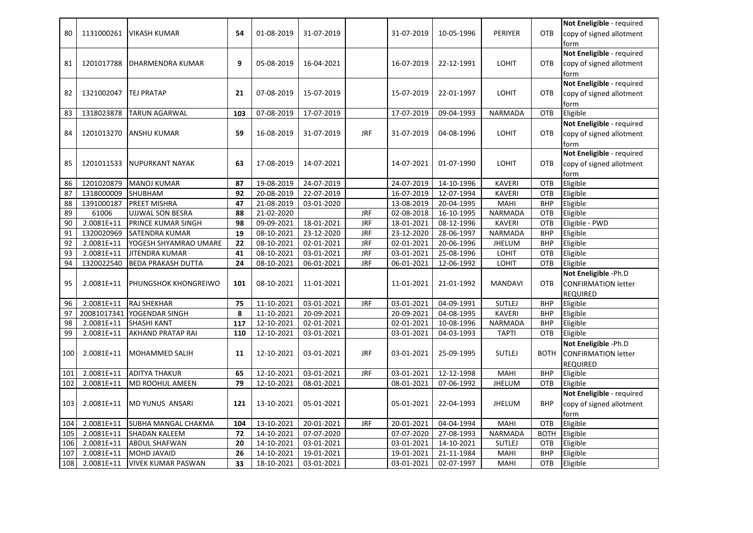|     |             |                            |     |            |            |            |            |            |                |             | Not Eneligible - required  |
|-----|-------------|----------------------------|-----|------------|------------|------------|------------|------------|----------------|-------------|----------------------------|
| 80  | 1131000261  | <b>VIKASH KUMAR</b>        | 54  | 01-08-2019 | 31-07-2019 |            | 31-07-2019 | 10-05-1996 | <b>PERIYER</b> | <b>OTB</b>  | copy of signed allotment   |
|     |             |                            |     |            |            |            |            |            |                |             | form                       |
|     |             |                            |     |            |            |            |            |            |                |             | Not Eneligible - required  |
| 81  | 1201017788  | IDHARMENDRA KUMAR          | 9   | 05-08-2019 | 16-04-2021 |            | 16-07-2019 | 22-12-1991 | <b>LOHIT</b>   | OTB         | copy of signed allotment   |
|     |             |                            |     |            |            |            |            |            |                |             | form                       |
|     |             |                            |     |            |            |            |            |            |                |             | Not Eneligible - required  |
| 82  | 1321002047  | <b>TEJ PRATAP</b>          | 21  | 07-08-2019 | 15-07-2019 |            | 15-07-2019 | 22-01-1997 | <b>LOHIT</b>   | <b>OTB</b>  | copy of signed allotment   |
|     |             |                            |     |            |            |            |            |            |                |             | form                       |
| 83  | 1318023878  | <b>TARUN AGARWAL</b>       | 103 | 07-08-2019 | 17-07-2019 |            | 17-07-2019 | 09-04-1993 | NARMADA        | OTB         | Eligible                   |
|     |             |                            |     |            |            |            |            |            |                |             | Not Eneligible - required  |
| 84  | 1201013270  | <b>ANSHU KUMAR</b>         | 59  | 16-08-2019 | 31-07-2019 | <b>JRF</b> | 31-07-2019 | 04-08-1996 | <b>LOHIT</b>   | OTB         | copy of signed allotment   |
|     |             |                            |     |            |            |            |            |            |                |             | form                       |
|     |             |                            |     |            |            |            |            |            |                |             | Not Eneligible - required  |
| 85  | 1201011533  | NUPURKANT NAYAK            | 63  | 17-08-2019 | 14-07-2021 |            | 14-07-2021 | 01-07-1990 | <b>LOHIT</b>   | OTB         | copy of signed allotment   |
|     |             |                            |     |            |            |            |            |            |                |             | form                       |
| 86  | 1201020879  | <b>MANOJ KUMAR</b>         | 87  | 19-08-2019 | 24-07-2019 |            | 24-07-2019 | 14-10-1996 | <b>KAVERI</b>  | OTB         | Eligible                   |
| 87  | 1318000009  | SHUBHAM                    | 92  | 20-08-2019 | 22-07-2019 |            | 16-07-2019 | 12-07-1994 | <b>KAVERI</b>  | OTB         | Eligible                   |
| 88  | 1391000187  | <b>PREET MISHRA</b>        | 47  | 21-08-2019 | 03-01-2020 |            | 13-08-2019 | 20-04-1995 | MAHI           | <b>BHP</b>  | Eligible                   |
| 89  | 61006       | <b>UJJWAL SON BESRA</b>    | 88  | 21-02-2020 |            | <b>JRF</b> | 02-08-2018 | 16-10-1995 | NARMADA        | OTB         | Eligible                   |
| 90  | 2.0081E+11  | PRINCE KUMAR SINGH         | 98  | 09-09-2021 | 18-01-2021 | <b>JRF</b> | 18-01-2021 | 08-12-1996 | <b>KAVERI</b>  | <b>OTB</b>  | Eligible - PWD             |
| 91  | 1320020969  | <b>SATENDRA KUMAR</b>      | 19  | 08-10-2021 | 23-12-2020 | <b>JRF</b> | 23-12-2020 | 28-06-1997 | NARMADA        | <b>BHP</b>  | Eligible                   |
| 92  | 2.0081E+11  | YOGESH SHYAMRAO UMARE      | 22  | 08-10-2021 | 02-01-2021 | <b>JRF</b> | 02-01-2021 | 20-06-1996 | <b>JHELUM</b>  | <b>BHP</b>  | Eligible                   |
| 93  | 2.0081E+11  | JITENDRA KUMAR             | 41  | 08-10-2021 | 03-01-2021 | <b>JRF</b> | 03-01-2021 | 25-08-1996 | LOHIT          | OTB         | Eligible                   |
| 94  | 1320022540  | <b>BEDA PRAKASH DUTTA</b>  | 24  | 08-10-2021 | 06-01-2021 | <b>JRF</b> | 06-01-2021 | 12-06-1992 | LOHIT          | OTB         | Eligible                   |
|     |             |                            |     |            |            |            |            |            |                |             | Not Eneligible -Ph.D       |
| 95  | 2.0081E+11  | PHUNGSHOK KHONGREIWO       | 101 | 08-10-2021 | 11-01-2021 |            | 11-01-2021 | 21-01-1992 | <b>MANDAVI</b> | <b>OTB</b>  | <b>CONFIRMATION letter</b> |
|     |             |                            |     |            |            |            |            |            |                |             | <b>REQUIRED</b>            |
| 96  | 2.0081E+11  | <b>RAJ SHEKHAR</b>         | 75  | 11-10-2021 | 03-01-2021 | <b>JRF</b> | 03-01-2021 | 04-09-1991 | <b>SUTLEJ</b>  | <b>BHP</b>  | Eligible                   |
| 97  | 20081017341 | YOGENDAR SINGH             | 8   | 11-10-2021 | 20-09-2021 |            | 20-09-2021 | 04-08-1995 | <b>KAVERI</b>  | <b>BHP</b>  | Eligible                   |
| 98  | 2.0081E+11  | <b>SHASHI KANT</b>         | 117 | 12-10-2021 | 02-01-2021 |            | 02-01-2021 | 10-08-1996 | <b>NARMADA</b> | <b>BHP</b>  | Eligible                   |
| 99  | 2.0081E+11  | AKHAND PRATAP RAI          | 110 | 12-10-2021 | 03-01-2021 |            | 03-01-2021 | 04-03-1993 | <b>TAPTI</b>   | OTB         | Eligible                   |
|     |             |                            |     |            |            |            |            |            |                |             | Not Eneligible -Ph.D       |
| 100 | 2.0081E+11  | <b>MOHAMMED SALIH</b>      | 11  | 12-10-2021 | 03-01-2021 | <b>JRF</b> | 03-01-2021 | 25-09-1995 | <b>SUTLEJ</b>  | <b>BOTH</b> | <b>CONFIRMATION letter</b> |
|     |             |                            |     |            |            |            |            |            |                |             | <b>REQUIRED</b>            |
| 101 | 2.0081E+11  | <b>ADITYA THAKUR</b>       | 65  | 12-10-2021 | 03-01-2021 | <b>JRF</b> | 03-01-2021 | 12-12-1998 | MAHI           | <b>BHP</b>  | Eligible                   |
| 102 | 2.0081E+11  | MD ROOHUL AMEEN            | 79  | 12-10-2021 | 08-01-2021 |            | 08-01-2021 | 07-06-1992 | <b>JHELUM</b>  | <b>OTB</b>  | Eligible                   |
|     |             |                            |     |            |            |            |            |            |                |             | Not Eneligible - required  |
| 103 | 2.0081E+11  | <b>MD YUNUS ANSARI</b>     | 121 | 13-10-2021 | 05-01-2021 |            | 05-01-2021 | 22-04-1993 | <b>JHELUM</b>  | <b>BHP</b>  | copy of signed allotment   |
|     |             |                            |     |            |            |            |            |            |                |             | form                       |
| 104 | 2.0081E+11  | <b>SUBHA MANGAL CHAKMA</b> | 104 | 13-10-2021 | 20-01-2021 | <b>JRF</b> | 20-01-2021 | 04-04-1994 | MAHI           | OTB         | Eligible                   |
| 105 | 2.0081E+11  | <b>SHADAN KALEEM</b>       | 72  | 14-10-2021 | 07-07-2020 |            | 07-07-2020 | 27-08-1993 | NARMADA        | <b>BOTH</b> | Eligible                   |
| 106 | 2.0081E+11  | <b>ABDUL SHAFWAN</b>       | 20  | 14-10-2021 | 03-01-2021 |            | 03-01-2021 | 14-10-2021 | <b>SUTLEJ</b>  | OTB         | Eligible                   |
| 107 |             |                            |     |            |            |            |            |            |                |             |                            |
|     | 2.0081E+11  | <b>MOHD JAVAID</b>         | 26  | 14-10-2021 | 19-01-2021 |            | 19-01-2021 | 21-11-1984 | MAHI           | <b>BHP</b>  | Eligible                   |